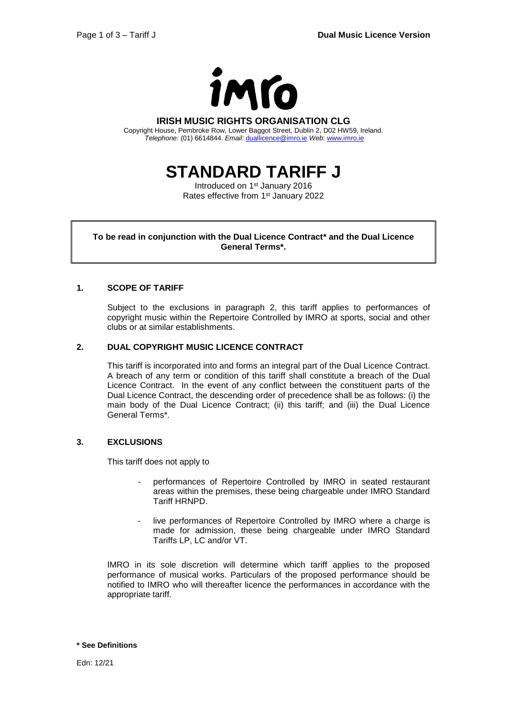

#### **IRISH MUSIC RIGHTS ORGANISATION CLG**

Copyright House, Pembroke Row, Lower Baggot Street, Dublin 2, D02 HW59, Ireland. *Telephone:* (01) 6614844. *Email:* [duallicence@imro.ie](mailto:duallicence@imro.ie) *Web*: [www.imro.ie](http://www.imro.ie/)

**STANDARD TARIFF J**

Introduced on 1<sup>st</sup> January 2016 Rates effective from 1<sup>st</sup> January 2022

**To be read in conjunction with the Dual Licence Contract\* and the Dual Licence General Terms\*.**

### **1. SCOPE OF TARIFF**

Subject to the exclusions in paragraph 2, this tariff applies to performances of copyright music within the Repertoire Controlled by IMRO at sports, social and other clubs or at similar establishments.

### **2. DUAL COPYRIGHT MUSIC LICENCE CONTRACT**

This tariff is incorporated into and forms an integral part of the Dual Licence Contract. A breach of any term or condition of this tariff shall constitute a breach of the Dual Licence Contract. In the event of any conflict between the constituent parts of the Dual Licence Contract, the descending order of precedence shall be as follows: (i) the main body of the Dual Licence Contract; (ii) this tariff; and (iii) the Dual Licence General Terms\*.

#### **3. EXCLUSIONS**

This tariff does not apply to

- performances of Repertoire Controlled by IMRO in seated restaurant areas within the premises, these being chargeable under IMRO Standard Tariff HRNPD.
- live performances of Repertoire Controlled by IMRO where a charge is made for admission, these being chargeable under IMRO Standard Tariffs LP, LC and/or VT.

IMRO in its sole discretion will determine which tariff applies to the proposed performance of musical works. Particulars of the proposed performance should be notified to IMRO who will thereafter licence the performances in accordance with the appropriate tariff.

**\* See Definitions**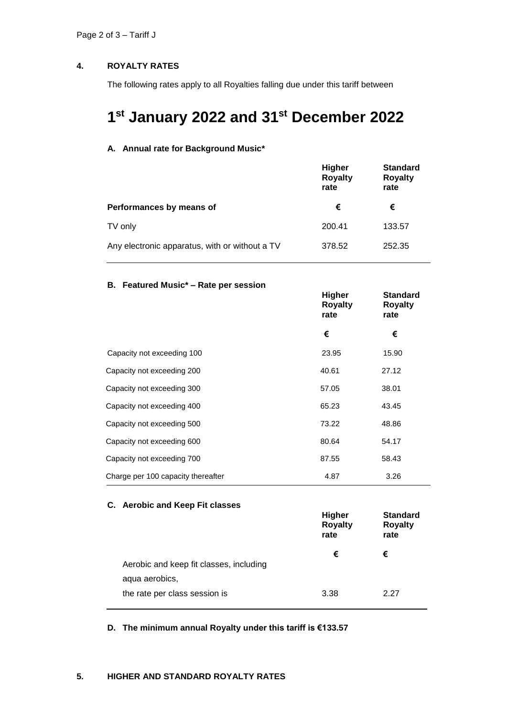# **4. ROYALTY RATES**

The following rates apply to all Royalties falling due under this tariff between

# **1 st January 2022 and 31st December 2022**

### **A. Annual rate for Background Music\***

|                                                | <b>Higher</b><br><b>Royalty</b><br>rate | <b>Standard</b><br><b>Royalty</b><br>rate |
|------------------------------------------------|-----------------------------------------|-------------------------------------------|
| Performances by means of                       | €                                       | €                                         |
| TV only                                        | 200.41                                  | 133.57                                    |
| Any electronic apparatus, with or without a TV | 378.52                                  | 252.35                                    |

# **B. Featured Music\* – Rate per session**

|                                    | <b>Higher</b><br><b>Royalty</b><br>rate | <b>Standard</b><br><b>Royalty</b><br>rate |
|------------------------------------|-----------------------------------------|-------------------------------------------|
|                                    | €                                       | €                                         |
| Capacity not exceeding 100         | 23.95                                   | 15.90                                     |
| Capacity not exceeding 200         | 40.61                                   | 27.12                                     |
| Capacity not exceeding 300         | 57.05                                   | 38.01                                     |
| Capacity not exceeding 400         | 65.23                                   | 43.45                                     |
| Capacity not exceeding 500         | 73.22                                   | 48.86                                     |
| Capacity not exceeding 600         | 80.64                                   | 54.17                                     |
| Capacity not exceeding 700         | 87.55                                   | 58.43                                     |
| Charge per 100 capacity thereafter | 4.87                                    | 3.26                                      |

### **C. Aerobic and Keep Fit classes**

|                                         | <b>Higher</b><br><b>Royalty</b><br>rate | <b>Standard</b><br><b>Royalty</b><br>rate |
|-----------------------------------------|-----------------------------------------|-------------------------------------------|
|                                         | €                                       | €                                         |
| Aerobic and keep fit classes, including |                                         |                                           |
| aqua aerobics,                          |                                         |                                           |
| the rate per class session is           | 3.38                                    | 2 27                                      |

**D. The minimum annual Royalty under this tariff is €133.57**